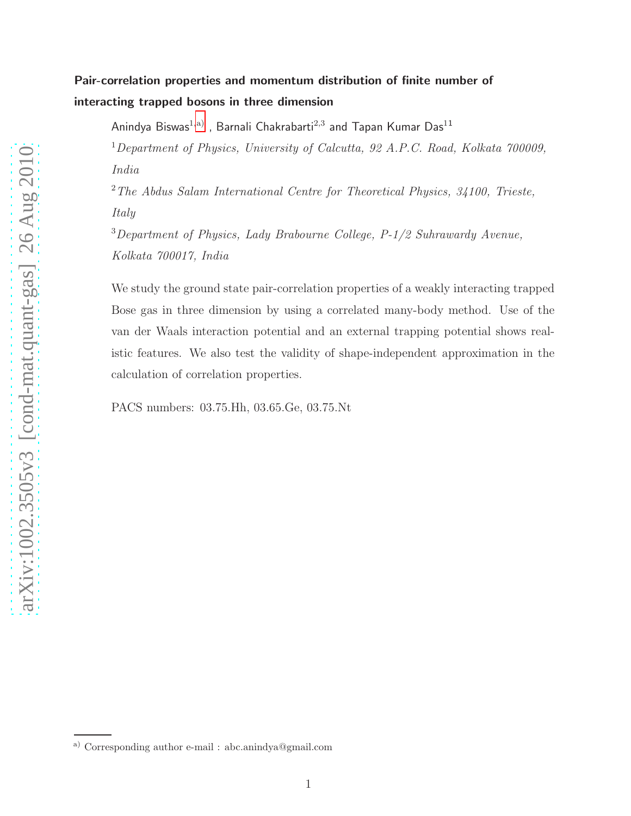# Pair-correlation properties and momentum distribution of finite number of interacting trapped bosons in three dimension

Anindya Biswas $^{1,\mathrm{a})}$  , Barnali Chakrabarti $^{2,\mathrm{3}}$  and Tapan Kumar Das $^{11}$ 

<sup>1</sup>Department of Physics, University of Calcutta, 92 A.P.C. Road, Kolkata 700009, India

<sup>2</sup>The Abdus Salam International Centre for Theoretical Physics, 34100, Trieste, Italy

 $3$ Department of Physics, Lady Brabourne College, P-1/2 Suhrawardy Avenue, Kolkata 700017, India

We study the ground state pair-correlation properties of a weakly interacting trapped Bose gas in three dimension by using a correlated many-body method. Use of the van der Waals interaction potential and an external trapping potential shows realistic features. We also test the validity of shape-independent approximation in the calculation of correlation properties.

PACS numbers: 03.75.Hh, 03.65.Ge, 03.75.Nt

<span id="page-0-0"></span>a) Corresponding author e-mail : abc.anindya@gmail.com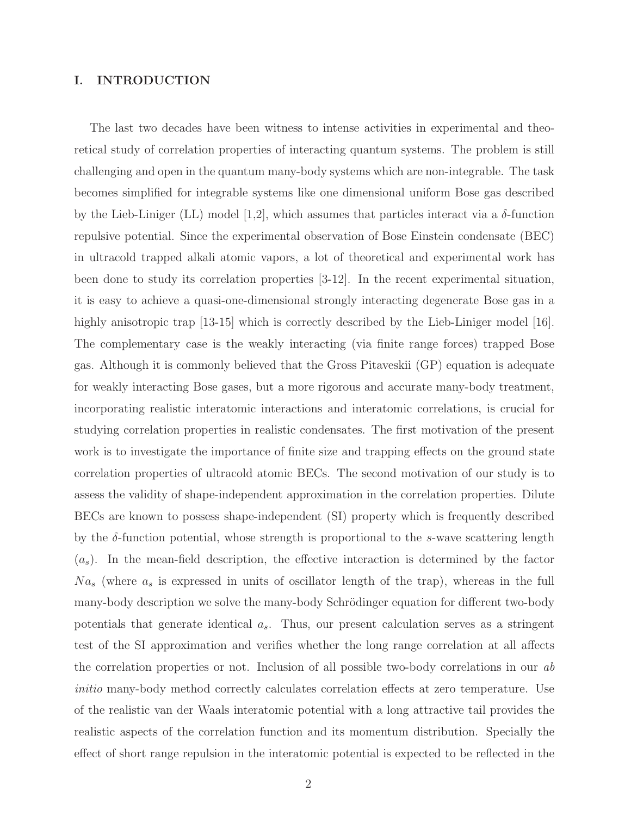## I. INTRODUCTION

The last two decades have been witness to intense activities in experimental and theoretical study of correlation properties of interacting quantum systems. The problem is still challenging and open in the quantum many-body systems which are non-integrable. The task becomes simplified for integrable systems like one dimensional uniform Bose gas described by the Lieb-Liniger (LL) model [1,2], which assumes that particles interact via a  $\delta$ -function repulsive potential. Since the experimental observation of Bose Einstein condensate (BEC) in ultracold trapped alkali atomic vapors, a lot of theoretical and experimental work has been done to study its correlation properties [3-12]. In the recent experimental situation, it is easy to achieve a quasi-one-dimensional strongly interacting degenerate Bose gas in a highly anisotropic trap [13-15] which is correctly described by the Lieb-Liniger model [16]. The complementary case is the weakly interacting (via finite range forces) trapped Bose gas. Although it is commonly believed that the Gross Pitaveskii (GP) equation is adequate for weakly interacting Bose gases, but a more rigorous and accurate many-body treatment, incorporating realistic interatomic interactions and interatomic correlations, is crucial for studying correlation properties in realistic condensates. The first motivation of the present work is to investigate the importance of finite size and trapping effects on the ground state correlation properties of ultracold atomic BECs. The second motivation of our study is to assess the validity of shape-independent approximation in the correlation properties. Dilute BECs are known to possess shape-independent (SI) property which is frequently described by the  $\delta$ -function potential, whose strength is proportional to the s-wave scattering length  $(a_s)$ . In the mean-field description, the effective interaction is determined by the factor  $Na<sub>s</sub>$  (where  $a<sub>s</sub>$  is expressed in units of oscillator length of the trap), whereas in the full many-body description we solve the many-body Schrödinger equation for different two-body potentials that generate identical  $a_s$ . Thus, our present calculation serves as a stringent test of the SI approximation and verifies whether the long range correlation at all affects the correlation properties or not. Inclusion of all possible two-body correlations in our ab initio many-body method correctly calculates correlation effects at zero temperature. Use of the realistic van der Waals interatomic potential with a long attractive tail provides the realistic aspects of the correlation function and its momentum distribution. Specially the effect of short range repulsion in the interatomic potential is expected to be reflected in the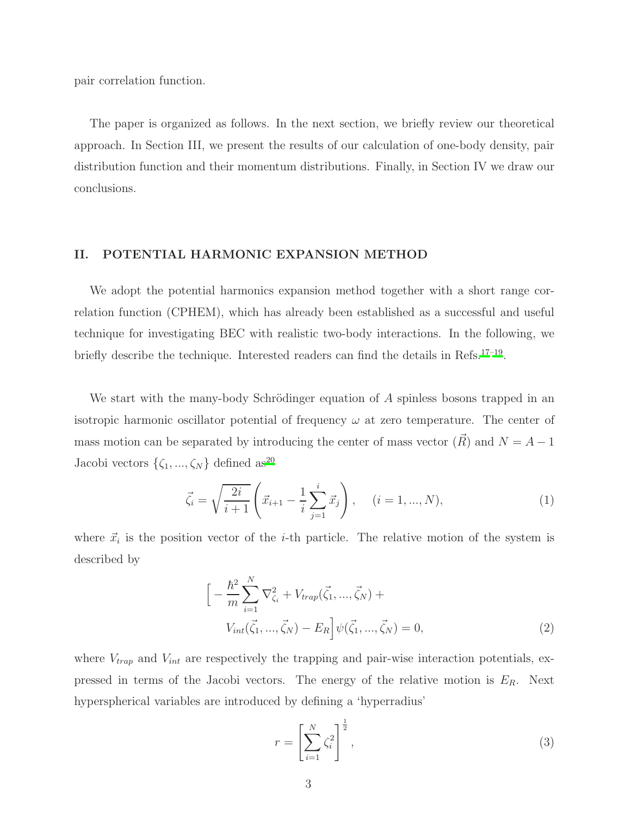pair correlation function.

The paper is organized as follows. In the next section, we briefly review our theoretical approach. In Section III, we present the results of our calculation of one-body density, pair distribution function and their momentum distributions. Finally, in Section IV we draw our conclusions.

# II. POTENTIAL HARMONIC EXPANSION METHOD

We adopt the potential harmonics expansion method together with a short range correlation function (CPHEM), which has already been established as a successful and useful technique for investigating BEC with realistic two-body interactions. In the following, we briefly describe the technique. Interested readers can find the details in Refs.<sup>[17](#page-15-0)-19</sup>.

We start with the many-body Schrödinger equation of  $A$  spinless bosons trapped in an isotropic harmonic oscillator potential of frequency  $\omega$  at zero temperature. The center of mass motion can be separated by introducing the center of mass vector  $(\vec{R})$  and  $N = A - 1$ Jacobi vectors  $\{\zeta_1, ..., \zeta_N\}$  defined as<sup>[20](#page-15-2)</sup>

$$
\vec{\zeta}_i = \sqrt{\frac{2i}{i+1}} \left( \vec{x}_{i+1} - \frac{1}{i} \sum_{j=1}^i \vec{x}_j \right), \quad (i = 1, ..., N), \tag{1}
$$

where  $\vec{x}_i$  is the position vector of the *i*-th particle. The relative motion of the system is described by

<span id="page-2-0"></span>
$$
\left[ -\frac{\hbar^2}{m} \sum_{i=1}^N \nabla_{\zeta_i}^2 + V_{trap}(\vec{\zeta}_1, ..., \vec{\zeta}_N) + V_{int}(\vec{\zeta}_1, ..., \vec{\zeta}_N) - E_R \right] \psi(\vec{\zeta}_1, ..., \vec{\zeta}_N) = 0,
$$
\n(2)

where  $V_{trap}$  and  $V_{int}$  are respectively the trapping and pair-wise interaction potentials, expressed in terms of the Jacobi vectors. The energy of the relative motion is  $E_R$ . Next hyperspherical variables are introduced by defining a 'hyperradius'

$$
r = \left[\sum_{i=1}^{N} \zeta_i^2\right]^{\frac{1}{2}},\tag{3}
$$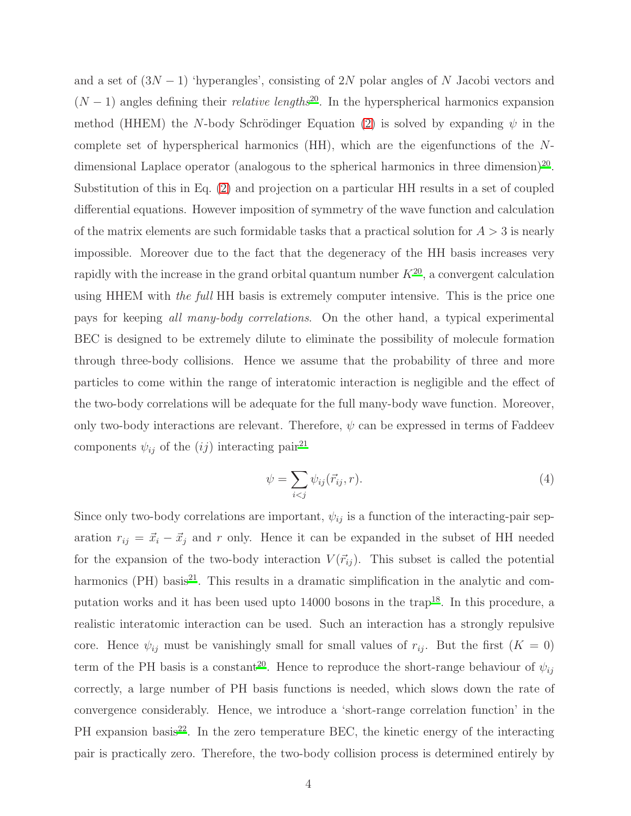and a set of  $(3N-1)$  'hyperangles', consisting of 2N polar angles of N Jacobi vectors and  $(N-1)$  angles defining their *relative lengths*<sup>[20](#page-15-2)</sup>. In the hyperspherical harmonics expansion method (HHEM) the N-body Schrödinger Equation [\(2\)](#page-2-0) is solved by expanding  $\psi$  in the complete set of hyperspherical harmonics (HH), which are the eigenfunctions of the N-dimensional Laplace operator (analogous to the spherical harmonics in three dimension)<sup>[20](#page-15-2)</sup>. Substitution of this in Eq. [\(2\)](#page-2-0) and projection on a particular HH results in a set of coupled differential equations. However imposition of symmetry of the wave function and calculation of the matrix elements are such formidable tasks that a practical solution for  $A > 3$  is nearly impossible. Moreover due to the fact that the degeneracy of the HH basis increases very rapidly with the increase in the grand orbital quantum number  $K^{20}$  $K^{20}$  $K^{20}$ , a convergent calculation using HHEM with the full HH basis is extremely computer intensive. This is the price one pays for keeping all many-body correlations. On the other hand, a typical experimental BEC is designed to be extremely dilute to eliminate the possibility of molecule formation through three-body collisions. Hence we assume that the probability of three and more particles to come within the range of interatomic interaction is negligible and the effect of the two-body correlations will be adequate for the full many-body wave function. Moreover, only two-body interactions are relevant. Therefore,  $\psi$  can be expressed in terms of Faddeev components  $\psi_{ij}$  of the  $(ij)$  interacting pair<sup>[21](#page-15-3)</sup>

$$
\psi = \sum_{i < j} \psi_{ij}(\vec{r}_{ij}, r). \tag{4}
$$

Since only two-body correlations are important,  $\psi_{ij}$  is a function of the interacting-pair separation  $r_{ij} = \vec{x}_i - \vec{x}_j$  and r only. Hence it can be expanded in the subset of HH needed for the expansion of the two-body interaction  $V(\vec{r}_{ij})$ . This subset is called the potential harmonics (PH) basis $^{21}$  $^{21}$  $^{21}$ . This results in a dramatic simplification in the analytic and computation works and it has been used upto  $14000$  bosons in the trap<sup>[18](#page-15-4)</sup>. In this procedure, a realistic interatomic interaction can be used. Such an interaction has a strongly repulsive core. Hence  $\psi_{ij}$  must be vanishingly small for small values of  $r_{ij}$ . But the first  $(K = 0)$ term of the PH basis is a constant<sup>[20](#page-15-2)</sup>. Hence to reproduce the short-range behaviour of  $\psi_{ij}$ correctly, a large number of PH basis functions is needed, which slows down the rate of convergence considerably. Hence, we introduce a 'short-range correlation function' in the  $PH$  expansion basis<sup>[22](#page-15-5)</sup>. In the zero temperature BEC, the kinetic energy of the interacting pair is practically zero. Therefore, the two-body collision process is determined entirely by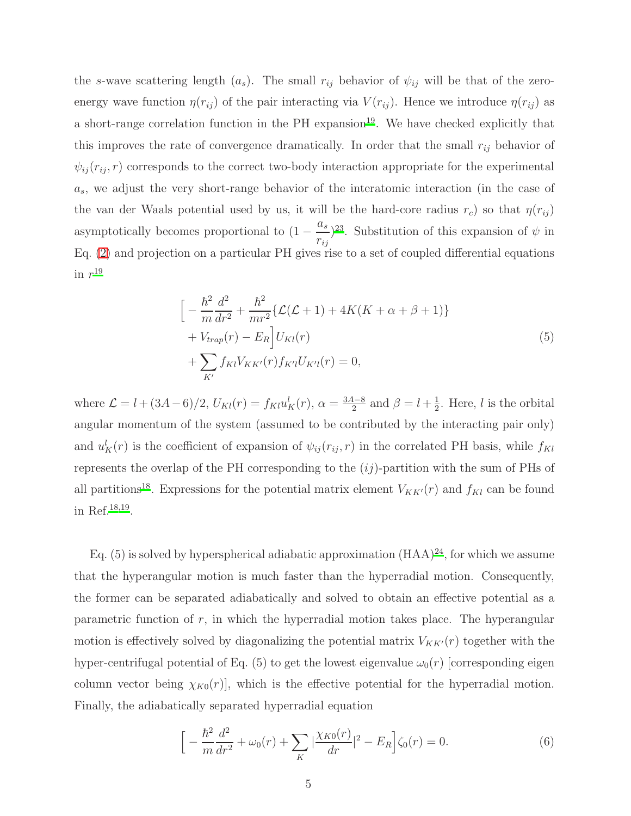the s-wave scattering length  $(a_s)$ . The small  $r_{ij}$  behavior of  $\psi_{ij}$  will be that of the zeroenergy wave function  $\eta(r_{ij})$  of the pair interacting via  $V(r_{ij})$ . Hence we introduce  $\eta(r_{ij})$  as a short-range correlation function in the  $PH$  expansion<sup>[19](#page-15-1)</sup>. We have checked explicitly that this improves the rate of convergence dramatically. In order that the small  $r_{ij}$  behavior of  $\psi_{ij}(r_{ij}, r)$  corresponds to the correct two-body interaction appropriate for the experimental  $a_s$ , we adjust the very short-range behavior of the interatomic interaction (in the case of the van der Waals potential used by us, it will be the hard-core radius  $r_c$ ) so that  $\eta(r_{ij})$ asymptotically becomes proportional to  $(1$  $a_s$  $r_{ij}$  $(2^2)$ . Substitution of this expansion of  $\psi$  in Eq. [\(2\)](#page-2-0) and projection on a particular PH gives rise to a set of coupled differential equations in  $r^{19}$  $r^{19}$  $r^{19}$ 

$$
\left[ -\frac{\hbar^2}{m} \frac{d^2}{dr^2} + \frac{\hbar^2}{mr^2} \{ \mathcal{L}(\mathcal{L} + 1) + 4K(K + \alpha + \beta + 1) \} + V_{trap}(r) - E_R \right] U_{Kl}(r) + \sum_{K'} f_{Kl} V_{KK'}(r) f_{K'l} U_{K'l}(r) = 0,
$$
\n(5)

where  $\mathcal{L} = l + (3A - 6)/2$ ,  $U_{Kl}(r) = f_{Kl} u_K^l(r)$ ,  $\alpha = \frac{3A - 8}{2}$  $\frac{1-8}{2}$  and  $\beta = l + \frac{1}{2}$  $\frac{1}{2}$ . Here, *l* is the orbital angular momentum of the system (assumed to be contributed by the interacting pair only) and  $u_K^l(r)$  is the coefficient of expansion of  $\psi_{ij}(r_{ij}, r)$  in the correlated PH basis, while  $f_{Kl}$ represents the overlap of the PH corresponding to the  $(ij)$ -partition with the sum of PHs of all partitions<sup>[18](#page-15-4)</sup>. Expressions for the potential matrix element  $V_{KK'}(r)$  and  $f_{Kl}$  can be found in Ref.[18](#page-15-4)[,19](#page-15-1) .

Eq. (5) is solved by hyperspherical adiabatic approximation  $(HAA)^{24}$  $(HAA)^{24}$  $(HAA)^{24}$ , for which we assume that the hyperangular motion is much faster than the hyperradial motion. Consequently, the former can be separated adiabatically and solved to obtain an effective potential as a parametric function of  $r$ , in which the hyperradial motion takes place. The hyperangular motion is effectively solved by diagonalizing the potential matrix  $V_{KK'}(r)$  together with the hyper-centrifugal potential of Eq. (5) to get the lowest eigenvalue  $\omega_0(r)$  [corresponding eigen column vector being  $\chi_{K0}(r)$ , which is the effective potential for the hyperradial motion. Finally, the adiabatically separated hyperradial equation

$$
\[ -\frac{\hbar^2}{m}\frac{d^2}{dr^2} + \omega_0(r) + \sum_K |\frac{\chi_{K0}(r)}{dr}|^2 - E_R \] \zeta_0(r) = 0. \tag{6}
$$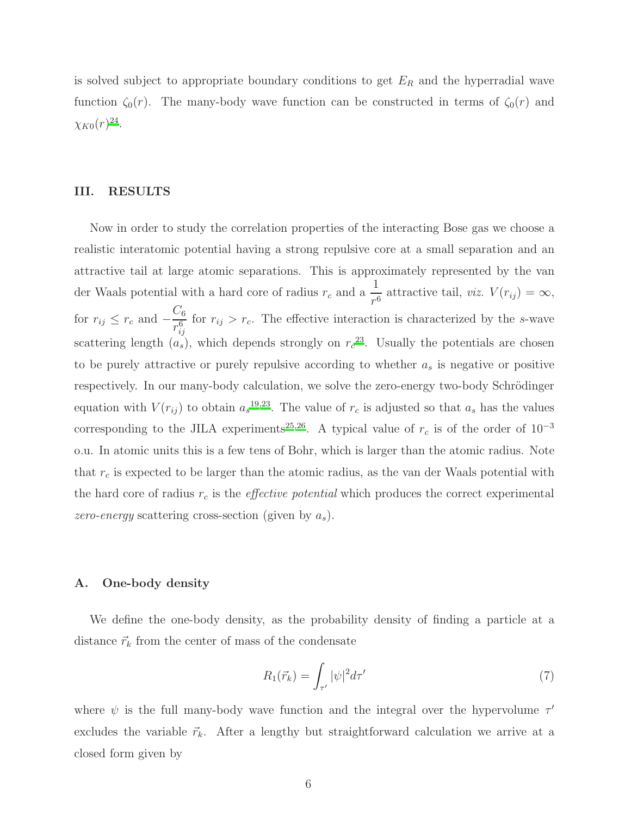is solved subject to appropriate boundary conditions to get  $E_R$  and the hyperradial wave function  $\zeta_0(r)$ . The many-body wave function can be constructed in terms of  $\zeta_0(r)$  and  $\chi_{K0}(r)^{24}.$  $\chi_{K0}(r)^{24}.$  $\chi_{K0}(r)^{24}.$ 

### III. RESULTS

Now in order to study the correlation properties of the interacting Bose gas we choose a realistic interatomic potential having a strong repulsive core at a small separation and an attractive tail at large atomic separations. This is approximately represented by the van der Waals potential with a hard core of radius  $r_c$  and a  $\frac{1}{r^6}$  attractive tail, viz.  $V(r_{ij}) = \infty$ , for  $r_{ij} \leq r_c$  and  $C_6$  $r^6_{ij}$ for  $r_{ij} > r_c$ . The effective interaction is characterized by the s-wave scattering length  $(a_s)$ , which depends strongly on  $r_c^{23}$  $r_c^{23}$  $r_c^{23}$ . Usually the potentials are chosen to be purely attractive or purely repulsive according to whether  $a_s$  is negative or positive respectively. In our many-body calculation, we solve the zero-energy two-body Schrödinger equation with  $V(r_{ij})$  to obtain  $a_s^{19,23}$  $a_s^{19,23}$  $a_s^{19,23}$  $a_s^{19,23}$ . The value of  $r_c$  is adjusted so that  $a_s$  has the values corresponding to the JILA experiments<sup>[25](#page-15-8)[,26](#page-15-9)</sup>. A typical value of  $r_c$  is of the order of 10<sup>-3</sup> o.u. In atomic units this is a few tens of Bohr, which is larger than the atomic radius. Note that  $r_c$  is expected to be larger than the atomic radius, as the van der Waals potential with the hard core of radius  $r_c$  is the *effective potential* which produces the correct experimental zero-energy scattering cross-section (given by  $a_s$ ).

# A. One-body density

We define the one-body density, as the probability density of finding a particle at a distance  $\vec{r}_k$  from the center of mass of the condensate

$$
R_1(\vec{r}_k) = \int_{\tau'} |\psi|^2 d\tau' \tag{7}
$$

where  $\psi$  is the full many-body wave function and the integral over the hypervolume  $\tau'$ excludes the variable  $\vec{r}_k$ . After a lengthy but straightforward calculation we arrive at a closed form given by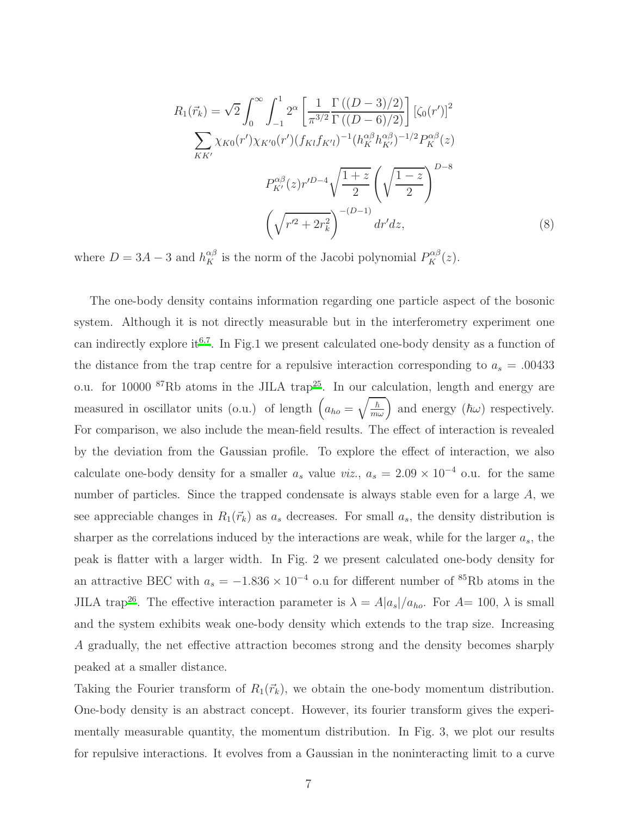$$
R_{1}(\vec{r}_{k}) = \sqrt{2} \int_{0}^{\infty} \int_{-1}^{1} 2^{\alpha} \left[ \frac{1}{\pi^{3/2}} \frac{\Gamma((D-3)/2)}{\Gamma((D-6)/2)} \right] \left[ \zeta_{0}(r') \right]^{2}
$$

$$
\sum_{KK'} \chi_{K0}(r') \chi_{K'0}(r') (f_{K1}f_{K'l})^{-1} (h_{K}^{\alpha\beta} h_{K'}^{\alpha\beta})^{-1/2} P_{K}^{\alpha\beta}(z)
$$

$$
P_{K'}^{\alpha\beta}(z) r'^{D-4} \sqrt{\frac{1+z}{2}} \left( \sqrt{\frac{1-z}{2}} \right)^{D-8}
$$

$$
\left( \sqrt{r'^{2} + 2r_{k}^{2}} \right)^{-(D-1)} dr' dz,
$$
(8)

where  $D = 3A - 3$  and  $h_K^{\alpha\beta}$  is the norm of the Jacobi polynomial  $P_K^{\alpha\beta}(z)$ .

The one-body density contains information regarding one particle aspect of the bosonic system. Although it is not directly measurable but in the interferometry experiment one can indirectly explore it<sup>[6](#page-15-10)[,7](#page-15-11)</sup>. In Fig.1 we present calculated one-body density as a function of the distance from the trap centre for a repulsive interaction corresponding to  $a_s = .00433$ o.u. for 10000  ${}^{87}$ Rb atoms in the JILA trap<sup>[25](#page-15-8)</sup>. In our calculation, length and energy are measured in oscillator units (o.u.) of length  $(a_{ho} = \sqrt{\frac{\hbar}{m\omega}})$  and energy  $(\hbar\omega)$  respectively. For comparison, we also include the mean-field results. The effect of interaction is revealed by the deviation from the Gaussian profile. To explore the effect of interaction, we also calculate one-body density for a smaller  $a_s$  value viz.,  $a_s = 2.09 \times 10^{-4}$  o.u. for the same number of particles. Since the trapped condensate is always stable even for a large  $A$ , we see appreciable changes in  $R_1(\vec{r}_k)$  as  $a_s$  decreases. For small  $a_s$ , the density distribution is sharper as the correlations induced by the interactions are weak, while for the larger  $a_s$ , the peak is flatter with a larger width. In Fig. 2 we present calculated one-body density for an attractive BEC with  $a_s = -1.836 \times 10^{-4}$  o.u for different number of <sup>85</sup>Rb atoms in the JILA trap<sup>[26](#page-15-9)</sup>. The effective interaction parameter is  $\lambda = A|a_s|/a_{ho}$ . For  $A=100$ ,  $\lambda$  is small and the system exhibits weak one-body density which extends to the trap size. Increasing A gradually, the net effective attraction becomes strong and the density becomes sharply peaked at a smaller distance.

Taking the Fourier transform of  $R_1(\vec{r}_k)$ , we obtain the one-body momentum distribution. One-body density is an abstract concept. However, its fourier transform gives the experimentally measurable quantity, the momentum distribution. In Fig. 3, we plot our results for repulsive interactions. It evolves from a Gaussian in the noninteracting limit to a curve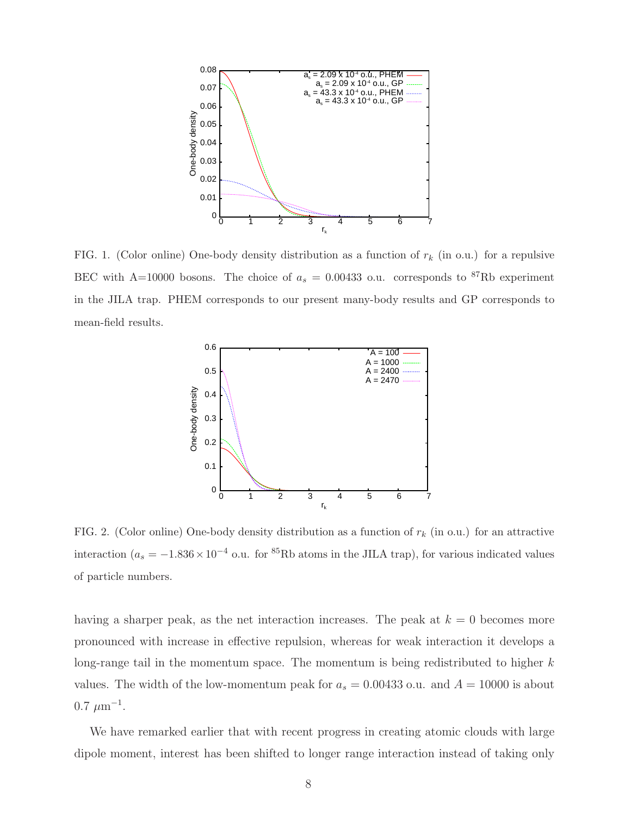

FIG. 1. (Color online) One-body density distribution as a function of  $r_k$  (in o.u.) for a repulsive BEC with A=10000 bosons. The choice of  $a_s = 0.00433$  o.u. corresponds to <sup>87</sup>Rb experiment in the JILA trap. PHEM corresponds to our present many-body results and GP corresponds to mean-field results.



FIG. 2. (Color online) One-body density distribution as a function of  $r_k$  (in o.u.) for an attractive interaction ( $a_s = -1.836 \times 10^{-4}$  o.u. for <sup>85</sup>Rb atoms in the JILA trap), for various indicated values of particle numbers.

having a sharper peak, as the net interaction increases. The peak at  $k = 0$  becomes more pronounced with increase in effective repulsion, whereas for weak interaction it develops a long-range tail in the momentum space. The momentum is being redistributed to higher  $k$ values. The width of the low-momentum peak for  $a_s = 0.00433$  o.u. and  $A = 10000$  is about  $0.7 \ \mu m^{-1}$ .

We have remarked earlier that with recent progress in creating atomic clouds with large dipole moment, interest has been shifted to longer range interaction instead of taking only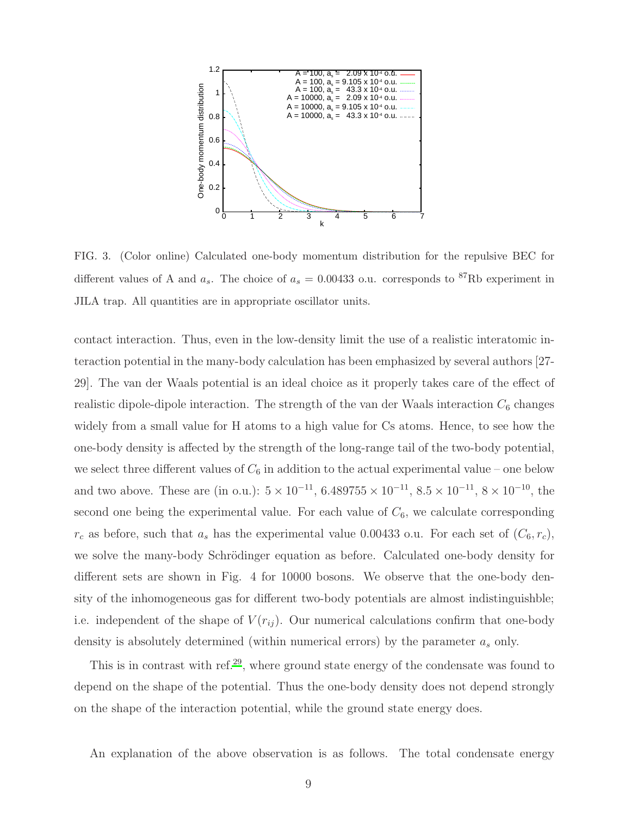

FIG. 3. (Color online) Calculated one-body momentum distribution for the repulsive BEC for different values of A and  $a_s$ . The choice of  $a_s = 0.00433$  o.u. corresponds to <sup>87</sup>Rb experiment in JILA trap. All quantities are in appropriate oscillator units.

contact interaction. Thus, even in the low-density limit the use of a realistic interatomic interaction potential in the many-body calculation has been emphasized by several authors [27- 29]. The van der Waals potential is an ideal choice as it properly takes care of the effect of realistic dipole-dipole interaction. The strength of the van der Waals interaction  $C_6$  changes widely from a small value for H atoms to a high value for Cs atoms. Hence, to see how the one-body density is affected by the strength of the long-range tail of the two-body potential, we select three different values of  $C_6$  in addition to the actual experimental value – one below and two above. These are (in o.u.):  $5 \times 10^{-11}$ ,  $6.489755 \times 10^{-11}$ ,  $8.5 \times 10^{-11}$ ,  $8 \times 10^{-10}$ , the second one being the experimental value. For each value of  $C_6$ , we calculate corresponding  $r_c$  as before, such that  $a_s$  has the experimental value 0.00433 o.u. For each set of  $(C_6, r_c)$ , we solve the many-body Schrödinger equation as before. Calculated one-body density for different sets are shown in Fig. 4 for 10000 bosons. We observe that the one-body density of the inhomogeneous gas for different two-body potentials are almost indistinguishble; i.e. independent of the shape of  $V(r_{ij})$ . Our numerical calculations confirm that one-body density is absolutely determined (within numerical errors) by the parameter  $a_s$  only.

This is in contrast with ref.<sup>[29](#page-15-12)</sup>, where ground state energy of the condensate was found to depend on the shape of the potential. Thus the one-body density does not depend strongly on the shape of the interaction potential, while the ground state energy does.

An explanation of the above observation is as follows. The total condensate energy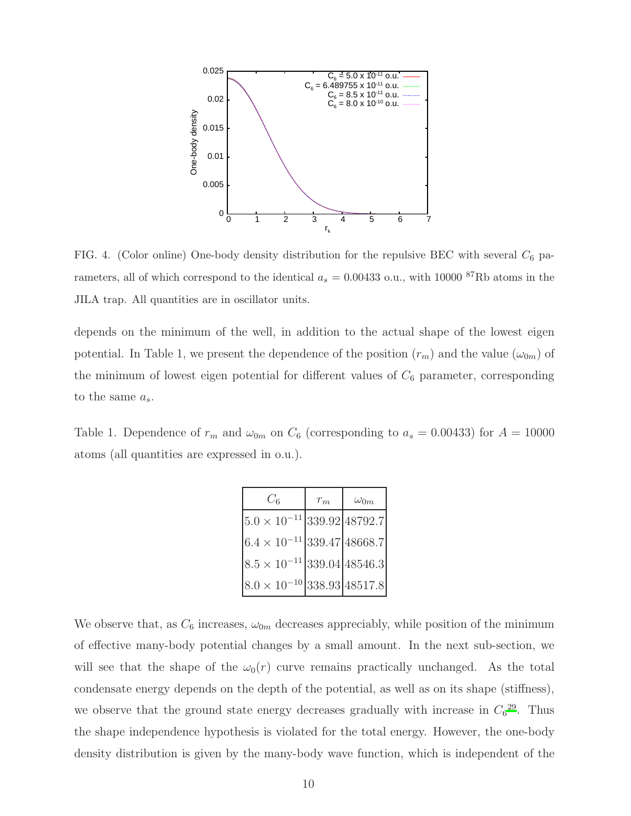

FIG. 4. (Color online) One-body density distribution for the repulsive BEC with several  $C_6$  parameters, all of which correspond to the identical  $a_s = 0.00433$  o.u., with 10000  ${}^{87}$ Rb atoms in the JILA trap. All quantities are in oscillator units.

depends on the minimum of the well, in addition to the actual shape of the lowest eigen potential. In Table 1, we present the dependence of the position  $(r_m)$  and the value  $(\omega_{0m})$  of the minimum of lowest eigen potential for different values of  $C_6$  parameter, corresponding to the same  $a_s$ .

Table 1. Dependence of  $r_m$  and  $\omega_{0m}$  on  $C_6$  (corresponding to  $a_s = 0.00433$ ) for  $A = 10000$ atoms (all quantities are expressed in o.u.).

| $C_6$                                | $r_m$ | $\omega_{0m}$ |
|--------------------------------------|-------|---------------|
| $5.0 \times 10^{-11}$ 339.92 48792.7 |       |               |
| $6.4 \times 10^{-11}$ 339.47 48668.7 |       |               |
| $8.5 \times 10^{-11}$ 339.04 48546.3 |       |               |
| $8.0 \times 10^{-10}$ 338.93 48517.8 |       |               |

We observe that, as  $C_6$  increases,  $\omega_{0m}$  decreases appreciably, while position of the minimum of effective many-body potential changes by a small amount. In the next sub-section, we will see that the shape of the  $\omega_0(r)$  curve remains practically unchanged. As the total condensate energy depends on the depth of the potential, as well as on its shape (stiffness), we observe that the ground state energy decreases gradually with increase in  $C_6^{29}$  $C_6^{29}$  $C_6^{29}$ . Thus the shape independence hypothesis is violated for the total energy. However, the one-body density distribution is given by the many-body wave function, which is independent of the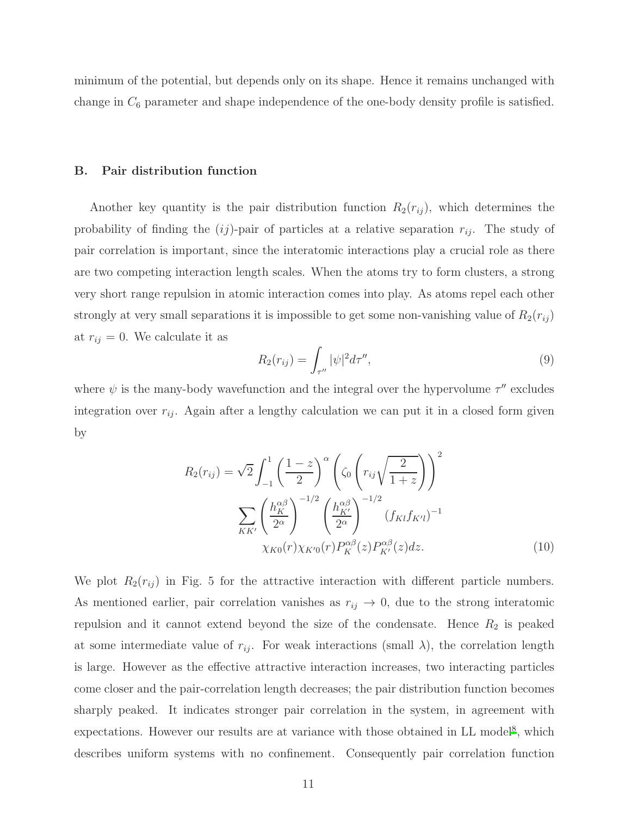minimum of the potential, but depends only on its shape. Hence it remains unchanged with change in  $C_6$  parameter and shape independence of the one-body density profile is satisfied.

#### B. Pair distribution function

Another key quantity is the pair distribution function  $R_2(r_{ij})$ , which determines the probability of finding the  $(ij)$ -pair of particles at a relative separation  $r_{ij}$ . The study of pair correlation is important, since the interatomic interactions play a crucial role as there are two competing interaction length scales. When the atoms try to form clusters, a strong very short range repulsion in atomic interaction comes into play. As atoms repel each other strongly at very small separations it is impossible to get some non-vanishing value of  $R_2(r_{ij})$ at  $r_{ij} = 0$ . We calculate it as

$$
R_2(r_{ij}) = \int_{\tau''} |\psi|^2 d\tau'', \tag{9}
$$

where  $\psi$  is the many-body wavefunction and the integral over the hypervolume  $\tau''$  excludes integration over  $r_{ij}$ . Again after a lengthy calculation we can put it in a closed form given by

$$
R_2(r_{ij}) = \sqrt{2} \int_{-1}^{1} \left(\frac{1-z}{2}\right)^{\alpha} \left(\zeta_0 \left(r_{ij}\sqrt{\frac{2}{1+z}}\right)\right)^2
$$

$$
\sum_{KK'} \left(\frac{h_K^{\alpha\beta}}{2^{\alpha}}\right)^{-1/2} \left(\frac{h_{K'}^{\alpha\beta}}{2^{\alpha}}\right)^{-1/2} (f_{Kl}f_{K'l})^{-1}
$$

$$
\chi_{K0}(r)\chi_{K'0}(r)P_K^{\alpha\beta}(z)P_{K'}^{\alpha\beta}(z)dz.
$$
(10)

We plot  $R_2(r_{ij})$  in Fig. 5 for the attractive interaction with different particle numbers. As mentioned earlier, pair correlation vanishes as  $r_{ij} \rightarrow 0$ , due to the strong interatomic repulsion and it cannot extend beyond the size of the condensate. Hence  $R_2$  is peaked at some intermediate value of  $r_{ij}$ . For weak interactions (small  $\lambda$ ), the correlation length is large. However as the effective attractive interaction increases, two interacting particles come closer and the pair-correlation length decreases; the pair distribution function becomes sharply peaked. It indicates stronger pair correlation in the system, in agreement with expectations. However our results are at variance with those obtained in LL model<sup>[8](#page-15-13)</sup>, which describes uniform systems with no confinement. Consequently pair correlation function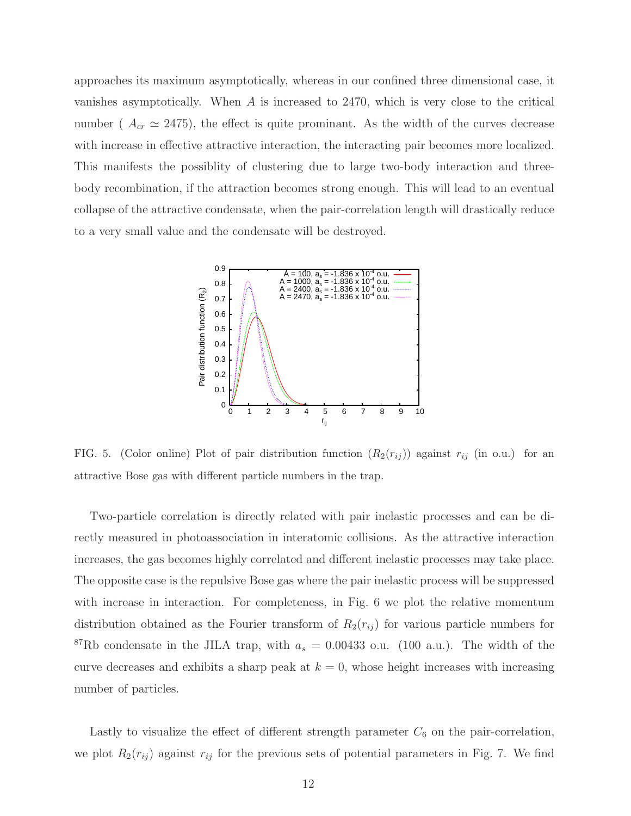approaches its maximum asymptotically, whereas in our confined three dimensional case, it vanishes asymptotically. When A is increased to 2470, which is very close to the critical number ( $A_{cr} \simeq 2475$ ), the effect is quite prominant. As the width of the curves decrease with increase in effective attractive interaction, the interacting pair becomes more localized. This manifests the possiblity of clustering due to large two-body interaction and threebody recombination, if the attraction becomes strong enough. This will lead to an eventual collapse of the attractive condensate, when the pair-correlation length will drastically reduce to a very small value and the condensate will be destroyed.



FIG. 5. (Color online) Plot of pair distribution function  $(R_2(r_{ij}))$  against  $r_{ij}$  (in o.u.) for an attractive Bose gas with different particle numbers in the trap.

Two-particle correlation is directly related with pair inelastic processes and can be directly measured in photoassociation in interatomic collisions. As the attractive interaction increases, the gas becomes highly correlated and different inelastic processes may take place. The opposite case is the repulsive Bose gas where the pair inelastic process will be suppressed with increase in interaction. For completeness, in Fig. 6 we plot the relative momentum distribution obtained as the Fourier transform of  $R_2(r_{ij})$  for various particle numbers for <sup>87</sup>Rb condensate in the JILA trap, with  $a_s = 0.00433$  o.u. (100 a.u.). The width of the curve decreases and exhibits a sharp peak at  $k = 0$ , whose height increases with increasing number of particles.

Lastly to visualize the effect of different strength parameter  $C_6$  on the pair-correlation, we plot  $R_2(r_{ij})$  against  $r_{ij}$  for the previous sets of potential parameters in Fig. 7. We find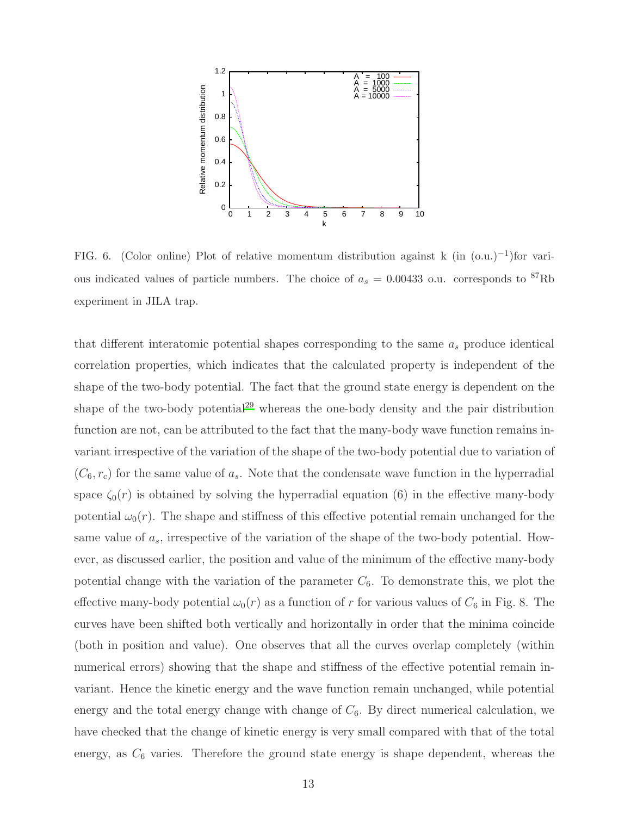

FIG. 6. (Color online) Plot of relative momentum distribution against k (in  $(0. u.)^{-1}$ )for various indicated values of particle numbers. The choice of  $a_s = 0.00433$  o.u. corresponds to <sup>87</sup>Rb experiment in JILA trap.

that different interatomic potential shapes corresponding to the same  $a_s$  produce identical correlation properties, which indicates that the calculated property is independent of the shape of the two-body potential. The fact that the ground state energy is dependent on the shape of the two-body potential<sup>[29](#page-15-12)</sup> whereas the one-body density and the pair distribution function are not, can be attributed to the fact that the many-body wave function remains invariant irrespective of the variation of the shape of the two-body potential due to variation of  $(C_6, r_c)$  for the same value of  $a_s$ . Note that the condensate wave function in the hyperradial space  $\zeta_0(r)$  is obtained by solving the hyperradial equation (6) in the effective many-body potential  $\omega_0(r)$ . The shape and stiffness of this effective potential remain unchanged for the same value of  $a_s$ , irrespective of the variation of the shape of the two-body potential. However, as discussed earlier, the position and value of the minimum of the effective many-body potential change with the variation of the parameter  $C_6$ . To demonstrate this, we plot the effective many-body potential  $\omega_0(r)$  as a function of r for various values of  $C_6$  in Fig. 8. The curves have been shifted both vertically and horizontally in order that the minima coincide (both in position and value). One observes that all the curves overlap completely (within numerical errors) showing that the shape and stiffness of the effective potential remain invariant. Hence the kinetic energy and the wave function remain unchanged, while potential energy and the total energy change with change of  $C_6$ . By direct numerical calculation, we have checked that the change of kinetic energy is very small compared with that of the total energy, as  $C_6$  varies. Therefore the ground state energy is shape dependent, whereas the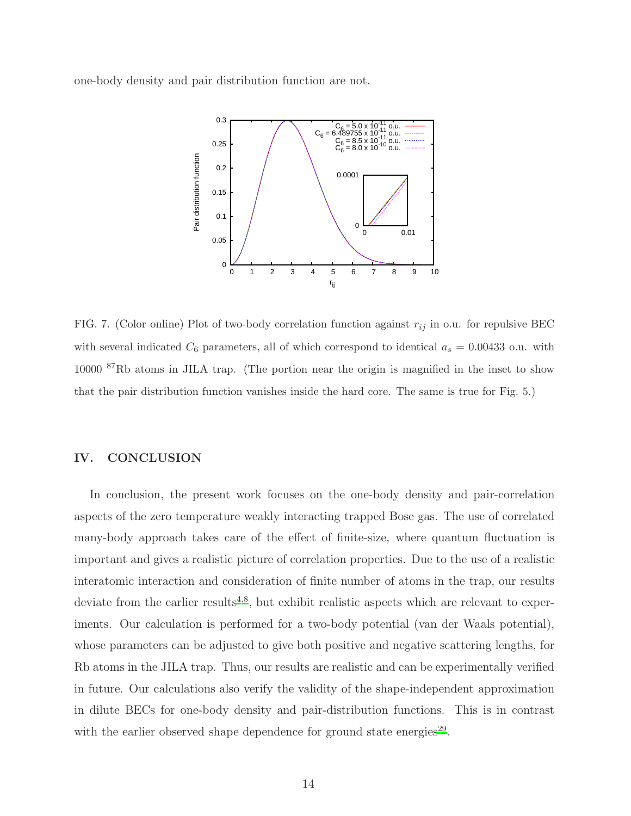one-body density and pair distribution function are not.



FIG. 7. (Color online) Plot of two-body correlation function against  $r_{ij}$  in o.u. for repulsive BEC with several indicated  $C_6$  parameters, all of which correspond to identical  $a_s = 0.00433$  o.u. with 10000 <sup>87</sup>Rb atoms in JILA trap. (The portion near the origin is magnified in the inset to show that the pair distribution function vanishes inside the hard core. The same is true for Fig. 5.)

## IV. CONCLUSION

In conclusion, the present work focuses on the one-body density and pair-correlation aspects of the zero temperature weakly interacting trapped Bose gas. The use of correlated many-body approach takes care of the effect of finite-size, where quantum fluctuation is important and gives a realistic picture of correlation properties. Due to the use of a realistic interatomic interaction and consideration of finite number of atoms in the trap, our results deviate from the earlier results<sup>[4](#page-15-14)[,8](#page-15-13)</sup>, but exhibit realistic aspects which are relevant to experiments. Our calculation is performed for a two-body potential (van der Waals potential), whose parameters can be adjusted to give both positive and negative scattering lengths, for Rb atoms in the JILA trap. Thus, our results are realistic and can be experimentally verified in future. Our calculations also verify the validity of the shape-independent approximation in dilute BECs for one-body density and pair-distribution functions. This is in contrast with the earlier observed shape dependence for ground state energies<sup>[29](#page-15-12)</sup>.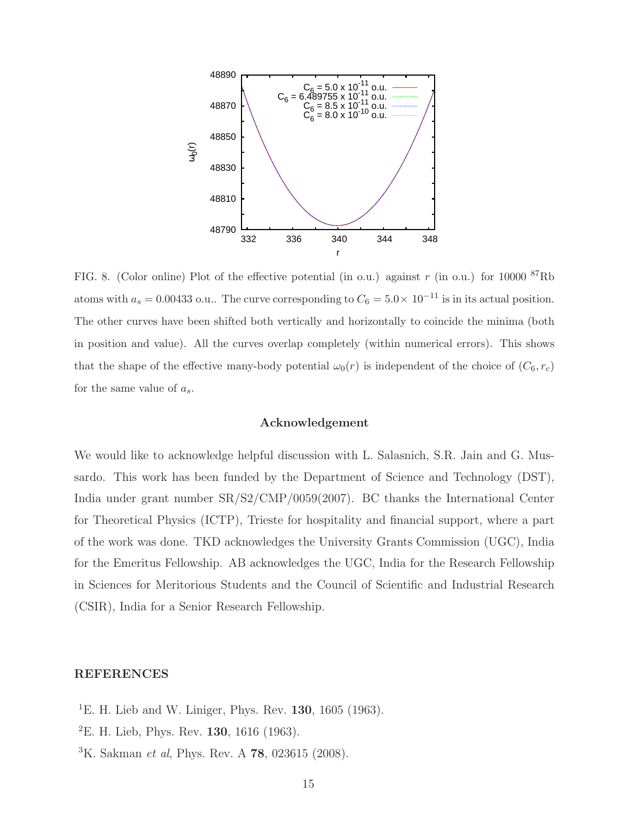

FIG. 8. (Color online) Plot of the effective potential (in o.u.) against  $r$  (in o.u.) for 10000  ${}^{87}$ Rb atoms with  $a_s = 0.00433$  o.u.. The curve corresponding to  $C_6 = 5.0 \times 10^{-11}$  is in its actual position. The other curves have been shifted both vertically and horizontally to coincide the minima (both in position and value). All the curves overlap completely (within numerical errors). This shows that the shape of the effective many-body potential  $\omega_0(r)$  is independent of the choice of  $(C_6, r_c)$ for the same value of  $a_s$ .

### Acknowledgement

We would like to acknowledge helpful discussion with L. Salasnich, S.R. Jain and G. Mussardo. This work has been funded by the Department of Science and Technology (DST), India under grant number SR/S2/CMP/0059(2007). BC thanks the International Center for Theoretical Physics (ICTP), Trieste for hospitality and financial support, where a part of the work was done. TKD acknowledges the University Grants Commission (UGC), India for the Emeritus Fellowship. AB acknowledges the UGC, India for the Research Fellowship in Sciences for Meritorious Students and the Council of Scientific and Industrial Research (CSIR), India for a Senior Research Fellowship.

## REFERENCES

- <sup>1</sup>E. H. Lieb and W. Liniger, Phys. Rev. **130**, 1605 (1963).
- <sup>2</sup>E. H. Lieb, Phys. Rev. **130**, 1616 (1963).
- ${}^{3}$ K. Sakman *et al*, Phys. Rev. A **78**, 023615 (2008).